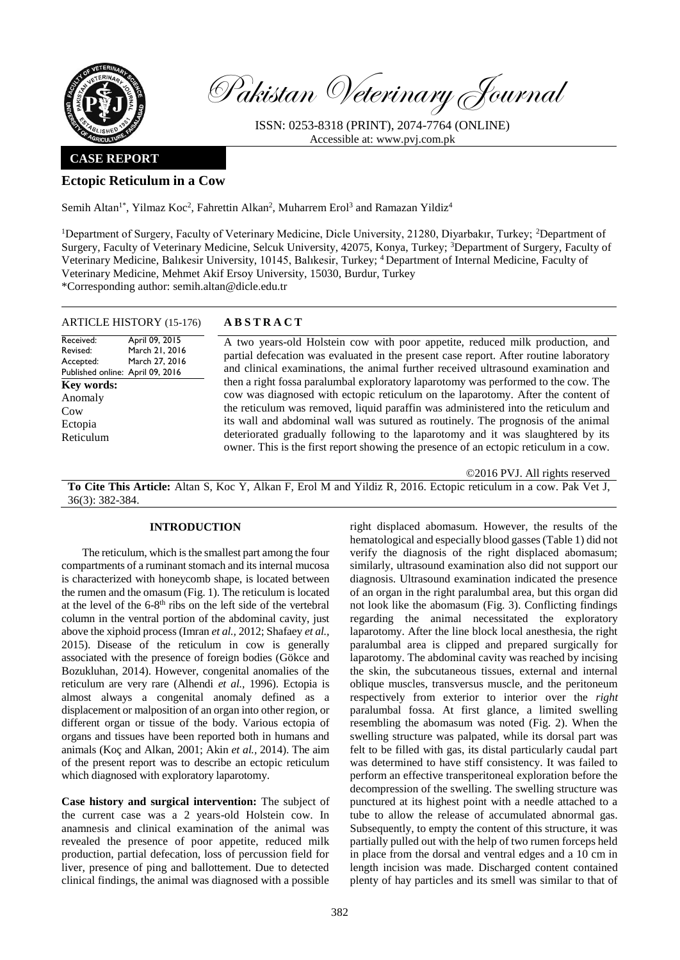

Pakistan Veterinary Journal

ISSN: 0253-8318 (PRINT), 2074-7764 (ONLINE) Accessible at: [www.pvj.com.pk](http://www.pvj.com.pk/)

## **CASE REPORT**

# **Ectopic Reticulum in a Cow**

Semih Altan<sup>1\*</sup>, Yilmaz Koc<sup>2</sup>, Fahrettin Alkan<sup>2</sup>, Muharrem Erol<sup>3</sup> and Ramazan Yildiz<sup>4</sup>

<sup>1</sup>Department of Surgery, Faculty of Veterinary Medicine, Dicle University, 21280, Diyarbakır, Turkey; <sup>2</sup>Department of Surgery, Faculty of Veterinary Medicine, Selcuk University, 42075, Konya, Turkey; <sup>3</sup>Department of Surgery, Faculty of Veterinary Medicine, Balıkesir University, 10145, Balıkesir, Turkey; <sup>4</sup>Department of Internal Medicine, Faculty of Veterinary Medicine, Mehmet Akif Ersoy University, 15030, Burdur, Turkey \*Corresponding author: semih.altan@dicle.edu.tr

| ARTICLE HISTORY (15-176)                                                                                                     | <b>ABSTRACT</b>                                                                                                                                                                                                                                                                                                                                                                                                                                                                                                                 |
|------------------------------------------------------------------------------------------------------------------------------|---------------------------------------------------------------------------------------------------------------------------------------------------------------------------------------------------------------------------------------------------------------------------------------------------------------------------------------------------------------------------------------------------------------------------------------------------------------------------------------------------------------------------------|
| Received:<br>April 09, 2015<br>March 21, 2016<br>Revised:<br>March 27, 2016<br>Accepted:<br>Published online: April 09, 2016 | A two years-old Holstein cow with poor appetite, reduced milk production, and<br>partial defecation was evaluated in the present case report. After routine laboratory<br>and clinical examinations, the animal further received ultrasound examination and                                                                                                                                                                                                                                                                     |
| <b>Key words:</b><br>Anomaly<br>Cow<br>Ectopia<br>Reticulum                                                                  | then a right fossa paralumbal exploratory laparotomy was performed to the cow. The<br>cow was diagnosed with ectopic reticulum on the laparotomy. After the content of<br>the reticulum was removed, liquid paraffin was administered into the reticulum and<br>its wall and abdominal wall was sutured as routinely. The prognosis of the animal<br>deteriorated gradually following to the laparotomy and it was slaughtered by its<br>owner. This is the first report showing the presence of an ectopic reticulum in a cow. |

**To Cite This Article:** Altan S, Koc Y, Alkan F, Erol M and Yildiz R, 2016. Ectopic reticulum in a cow. Pak Vet J, 36(3): 382-384.

#### **INTRODUCTION**

The reticulum, which is the smallest part among the four compartments of a ruminant stomach and its internal mucosa is characterized with honeycomb shape, is located between the rumen and the omasum (Fig. 1). The reticulum is located at the level of the 6-8<sup>th</sup> ribs on the left side of the vertebral column in the ventral portion of the abdominal cavity, just above the xiphoid process (Imran *et al.,* 2012; Shafaey *et al.,* 2015). Disease of the reticulum in cow is generally associated with the presence of foreign bodies (Gökce and Bozukluhan, 2014). However, congenital anomalies of the reticulum are very rare (Alhendi *et al.,* 1996). Ectopia is almost always a congenital anomaly defined as a displacement or malposition of an organ into other region, or different organ or tissue of the body. Various ectopia of organs and tissues have been reported both in humans and animals (Koç and Alkan, 2001; Akin *et al.,* 2014). The aim of the present report was to describe an ectopic reticulum which diagnosed with exploratory laparotomy.

**Case history and surgical intervention:** The subject of the current case was a 2 years-old Holstein cow. In anamnesis and clinical examination of the animal was revealed the presence of poor appetite, reduced milk production, partial defecation, loss of percussion field for liver, presence of ping and ballottement. Due to detected clinical findings, the animal was diagnosed with a possible

right displaced abomasum. However, the results of the hematological and especially blood gasses (Table 1) did not verify the diagnosis of the right displaced abomasum; similarly, ultrasound examination also did not support our diagnosis. Ultrasound examination indicated the presence of an organ in the right paralumbal area, but this organ did not look like the abomasum (Fig. 3). Conflicting findings regarding the animal necessitated the exploratory laparotomy. After the line block local anesthesia, the right paralumbal area is clipped and prepared surgically for laparotomy. The abdominal cavity was reached by incising the skin, the subcutaneous tissues, external and internal oblique muscles, transversus muscle, and the peritoneum respectively from exterior to interior over the *right*  paralumbal fossa. At first glance, a limited swelling resembling the abomasum was noted (Fig. 2). When the swelling structure was palpated, while its dorsal part was felt to be filled with gas, its distal particularly caudal part was determined to have stiff consistency. It was failed to perform an effective transperitoneal exploration before the decompression of the swelling. The swelling structure was punctured at its highest point with a needle attached to a tube to allow the release of accumulated abnormal gas. Subsequently, to empty the content of this structure, it was partially pulled out with the help of two rumen forceps held in place from the dorsal and ventral edges and a 10 cm in length incision was made. Discharged content contained plenty of hay particles and its smell was similar to that of

©2016 PVJ. All rights reserved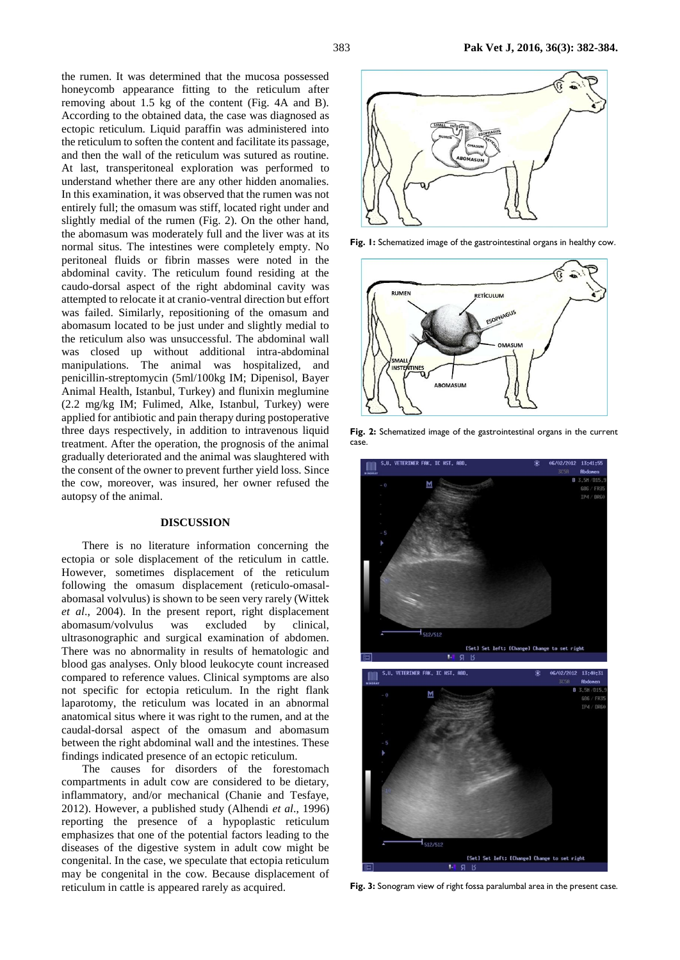the rumen. It was determined that the mucosa possessed honeycomb appearance fitting to the reticulum after removing about 1.5 kg of the content (Fig. 4A and B). According to the obtained data, the case was diagnosed as ectopic reticulum. Liquid paraffin was administered into the reticulum to soften the content and facilitate its passage, and then the wall of the reticulum was sutured as routine. At last, transperitoneal exploration was performed to understand whether there are any other hidden anomalies. In this examination, it was observed that the rumen was not entirely full; the omasum was stiff, located right under and slightly medial of the rumen (Fig. 2). On the other hand, the abomasum was moderately full and the liver was at its normal situs. The intestines were completely empty. No peritoneal fluids or fibrin masses were noted in the abdominal cavity. The reticulum found residing at the caudo-dorsal aspect of the right abdominal cavity was attempted to relocate it at cranio-ventral direction but effort was failed. Similarly, repositioning of the omasum and abomasum located to be just under and slightly medial to the reticulum also was unsuccessful. The abdominal wall was closed up without additional intra-abdominal manipulations. The animal was hospitalized, and penicillin-streptomycin (5ml/100kg IM; Dipenisol, Bayer Animal Health, Istanbul, Turkey) and flunixin meglumine (2.2 mg/kg IM; Fulimed, Alke, Istanbul, Turkey) were applied for antibiotic and pain therapy during postoperative three days respectively, in addition to intravenous liquid treatment. After the operation, the prognosis of the animal gradually deteriorated and the animal was slaughtered with the consent of the owner to prevent further yield loss. Since the cow, moreover, was insured, her owner refused the autopsy of the animal.

#### **DISCUSSION**

There is no literature information concerning the ectopia or sole displacement of the reticulum in cattle. However, sometimes displacement of the reticulum following the omasum displacement (reticulo-omasalabomasal volvulus) is shown to be seen very rarely (Wittek *et al*., 2004). In the present report, right displacement abomasum/volvulus was excluded by clinical, ultrasonographic and surgical examination of abdomen. There was no abnormality in results of hematologic and blood gas analyses. Only blood leukocyte count increased compared to reference values. Clinical symptoms are also not specific for ectopia reticulum. In the right flank laparotomy, the reticulum was located in an abnormal anatomical situs where it was right to the rumen, and at the caudal-dorsal aspect of the omasum and abomasum between the right abdominal wall and the intestines. These findings indicated presence of an ectopic reticulum.

The causes for disorders of the forestomach compartments in adult cow are considered to be dietary, inflammatory, and/or mechanical (Chanie and Tesfaye, 2012). However, a published study (Alhendi *et al*., 1996) reporting the presence of a hypoplastic reticulum emphasizes that one of the potential factors leading to the diseases of the digestive system in adult cow might be congenital. In the case, we speculate that ectopia reticulum may be congenital in the cow. Because displacement of reticulum in cattle is appeared rarely as acquired.



**Fig. 1:** Schematized image of the gastrointestinal organs in healthy cow.



**Fig. 2:** Schematized image of the gastrointestinal organs in the current case.



**Fig. 3:** Sonogram view of right fossa paralumbal area in the present case.